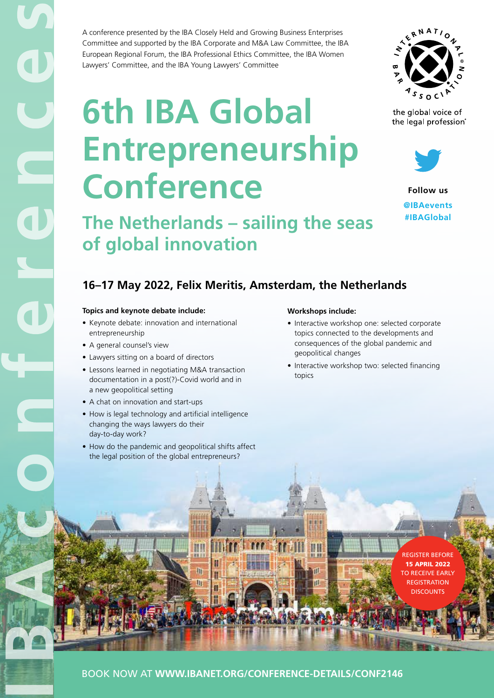A conference presented by the IBA Closely Held and Growing Business Enterprises Committee and supported by the IBA Corporate and M&A Law Committee, the IBA European Regional Forum, the IBA Professional Ethics Committee, the IBA Women Lawyers' Committee, and the IBA Young Lawyers' Committee

# **6th IBA Global Entrepreneurship Conference**



the global voice of the legal profession®



**Follow us @IBAevents #IBAGlobal**

**The Netherlands – sailing the seas of global innovation** 

### **16–17 May 2022, Felix Meritis, Amsterdam, the Netherlands**

#### **Topics and keynote debate include:**

- Keynote debate: innovation and international entrepreneurship
- A general counsel's view
- Lawyers sitting on a board of directors
- Lessons learned in negotiating M&A transaction documentation in a post(?)-Covid world and in a new geopolitical setting
- A chat on innovation and start-ups
- How is legal technology and artificial intelligence changing the ways lawyers do their day-to-day work?
- How do the pandemic and geopolitical shifts affect the legal position of the global entrepreneurs?

m

III

#### **Workshops include:**

iff

H

- Interactive workshop one: selected corporate topics connected to the developments and consequences of the global pandemic and geopolitical changes
- Interactive workshop two: selected financing topics

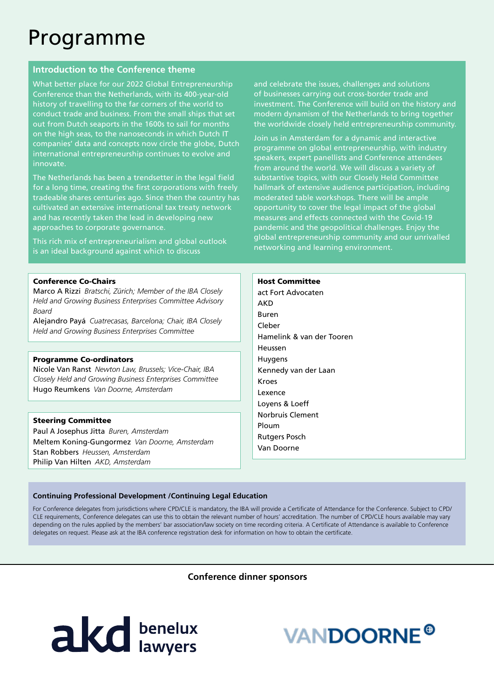## Programme

#### **Introduction to the Conference theme**

What better place for our 2022 Global Entrepreneurship Conference than the Netherlands, with its 400-year-old history of travelling to the far corners of the world to conduct trade and business. From the small ships that set out from Dutch seaports in the 1600s to sail for months on the high seas, to the nanoseconds in which Dutch IT companies' data and concepts now circle the globe, Dutch international entrepreneurship continues to evolve and innovate.

The Netherlands has been a trendsetter in the legal field for a long time, creating the first corporations with freely tradeable shares centuries ago. Since then the country has cultivated an extensive international tax treaty network and has recently taken the lead in developing new approaches to corporate governance.

This rich mix of entrepreneurialism and global outlook is an ideal background against which to discuss

#### Conference Co-Chairs

Marco A Rizzi *Bratschi, Zürich; Member of the IBA Closely Held and Growing Business Enterprises Committee Advisory Board*

Alejandro Payá *Cuatrecasas, Barcelona; Chair, IBA Closely Held and Growing Business Enterprises Committee*

#### Programme Co-ordinators

Nicole Van Ranst *Newton Law, Brussels; Vice-Chair, IBA Closely Held and Growing Business Enterprises Committee*  Hugo Reumkens *Van Doorne, Amsterdam*

#### Steering Committee

Paul A Josephus Jitta *Buren, Amsterdam*  Meltem Koning-Gungormez *Van Doorne, Amsterdam*  Stan Robbers *Heussen, Amsterdam*  Philip Van Hilten *AKD, Amsterdam* 

and celebrate the issues, challenges and solutions of businesses carrying out cross-border trade and investment. The Conference will build on the history and modern dynamism of the Netherlands to bring together the worldwide closely held entrepreneurship community.

Join us in Amsterdam for a dynamic and interactive programme on global entrepreneurship, with industry speakers, expert panellists and Conference attendees from around the world. We will discuss a variety of substantive topics, with our Closely Held Committee hallmark of extensive audience participation, including moderated table workshops. There will be ample opportunity to cover the legal impact of the global measures and effects connected with the Covid-19 pandemic and the geopolitical challenges. Enjoy the global entrepreneurship community and our unrivalled networking and learning environment.

#### Host Committee

act Fort Advocaten AKD Buren Cleber Hamelink & van der Tooren Heussen Huygens Kennedy van der Laan Kroes Lexence Loyens & Loeff Norbruis Clement Ploum Rutgers Posch Van Doorne

#### **Continuing Professional Development /Continuing Legal Education**

For Conference delegates from jurisdictions where CPD/CLE is mandatory, the IBA will provide a Certificate of Attendance for the Conference. Subject to CPD/ CLE requirements, Conference delegates can use this to obtain the relevant number of hours' accreditation. The number of CPD/CLE hours available may vary depending on the rules applied by the members' bar association/law society on time recording criteria. A Certificate of Attendance is available to Conference delegates on request. Please ask at the IBA conference registration desk for information on how to obtain the certificate.

**Conference dinner sponsors**



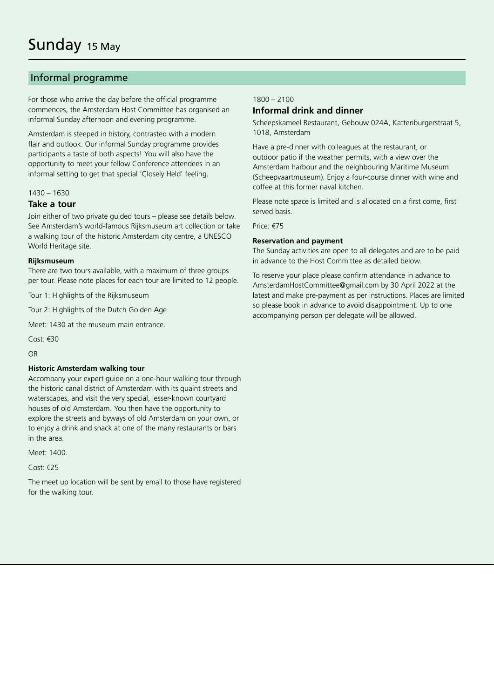#### Informal programme

For those who arrive the day before the official programme commences, the Amsterdam Host Committee has organised an informal Sunday afternoon and evening programme.

Amsterdam is steeped in history, contrasted with a modern flair and outlook. Our informal Sunday programme provides participants a taste of both aspects! You will also have the opportunity to meet your fellow Conference attendees in an informal setting to get that special 'Closely Held' feeling.

#### 1430 – 1630

#### **Take a tour**

Join either of two private guided tours – please see details below. See Amsterdam's world-famous Rijksmuseum art collection or take a walking tour of the historic Amsterdam city centre, a UNESCO World Heritage site.

#### **Rijksmuseum**

There are two tours available, with a maximum of three groups per tour. Please note places for each tour are limited to 12 people.

Tour 1: Highlights of the Rijksmuseum

Tour 2: Highlights of the Dutch Golden Age

Meet: 1430 at the museum main entrance.

Cost: €30

OR

#### **Historic Amsterdam walking tour**

Accompany your expert guide on a one-hour walking tour through the historic canal district of Amsterdam with its quaint streets and waterscapes, and visit the very special, lesser-known courtyard houses of old Amsterdam. You then have the opportunity to explore the streets and byways of old Amsterdam on your own, or to enjoy a drink and snack at one of the many restaurants or bars in the area.

Meet: 1400.

Cost: €25

The meet up location will be sent by email to those have registered for the walking tour.

#### 1800 – 2100

#### **Informal drink and dinner**

Scheepskameel Restaurant, Gebouw 024A, Kattenburgerstraat 5, 1018, Amsterdam

Have a pre-dinner with colleagues at the restaurant, or outdoor patio if the weather permits, with a view over the Amsterdam harbour and the neighbouring Maritime Museum (Scheepvaartmuseum). Enjoy a four-course dinner with wine and coffee at this former naval kitchen.

Please note space is limited and is allocated on a first come, first served basis.

Price: €75

#### **Reservation and payment**

The Sunday activities are open to all delegates and are to be paid in advance to the Host Committee as detailed below.

To reserve your place please confirm attendance in advance to [AmsterdamHostCommittee@gmail.com](mailto:AmsterdamHostCommittee%40gmail.com?subject=) by 30 April 2022 at the latest and make pre-payment as per instructions. Places are limited so please book in advance to avoid disappointment. Up to one accompanying person per delegate will be allowed.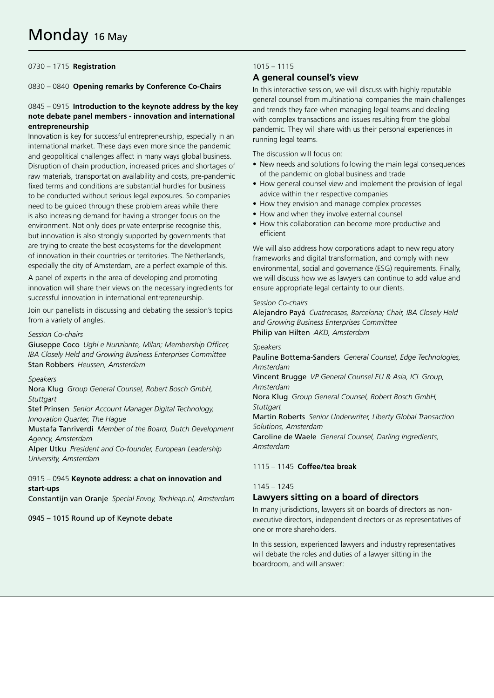#### 0730 – 1715 **Registration**

0830 – 0840 **Opening remarks by Conference Co-Chairs** 

#### 0845 – 0915 **Introduction to the keynote address by the key note debate panel members - innovation and international entrepreneurship**

Innovation is key for successful entrepreneurship, especially in an international market. These days even more since the pandemic and geopolitical challenges affect in many ways global business. Disruption of chain production, increased prices and shortages of raw materials, transportation availability and costs, pre-pandemic fixed terms and conditions are substantial hurdles for business to be conducted without serious legal exposures. So companies need to be guided through these problem areas while there is also increasing demand for having a stronger focus on the environment. Not only does private enterprise recognise this, but innovation is also strongly supported by governments that are trying to create the best ecosystems for the development of innovation in their countries or territories. The Netherlands, especially the city of Amsterdam, are a perfect example of this.

A panel of experts in the area of developing and promoting innovation will share their views on the necessary ingredients for successful innovation in international entrepreneurship.

Join our panellists in discussing and debating the session's topics from a variety of angles.

#### *Session Co-chairs*

Giuseppe Coco *Ughi e Nunziante, Milan; Membership Officer, IBA Closely Held and Growing Business Enterprises Committee*  Stan Robbers *Heussen, Amsterdam* 

#### *Speakers*

Nora Klug *Group General Counsel, Robert Bosch GmbH, Stuttgart*

Stef Prinsen *Senior Account Manager Digital Technology, Innovation Quarter, The Hague*

Mustafa Tanriverdi *Member of the Board, Dutch Development Agency, Amsterdam*

Alper Utku *President and Co-founder, European Leadership University, Amsterdam*

#### 0915 – 0945 **Keynote address: a chat on innovation and start-ups**

Constantijn van Oranje *Special Envoy, Techleap.nl, Amsterdam*

0945 – 1015 Round up of Keynote debate

#### 1015 – 1115

#### **A general counsel's view**

In this interactive session, we will discuss with highly reputable general counsel from multinational companies the main challenges and trends they face when managing legal teams and dealing with complex transactions and issues resulting from the global pandemic. They will share with us their personal experiences in running legal teams.

The discussion will focus on:

- New needs and solutions following the main legal consequences of the pandemic on global business and trade
- How general counsel view and implement the provision of legal advice within their respective companies
- How they envision and manage complex processes
- How and when they involve external counsel
- How this collaboration can become more productive and efficient

We will also address how corporations adapt to new regulatory frameworks and digital transformation, and comply with new environmental, social and governance (ESG) requirements. Finally, we will discuss how we as lawyers can continue to add value and ensure appropriate legal certainty to our clients.

#### *Session Co-chairs*

Alejandro Payá *Cuatrecasas, Barcelona; Chair, IBA Closely Held and Growing Business Enterprises Committee*  Philip van Hilten *AKD, Amsterdam* 

#### *Speakers*

Pauline Bottema-Sanders *General Counsel, Edge Technologies, Amsterdam* 

Vincent Brugge *VP General Counsel EU & Asia, ICL Group, Amsterdam*

Nora Klug *Group General Counsel, Robert Bosch GmbH, Stuttgart*

Martin Roberts *Senior Underwriter, Liberty Global Transaction Solutions, Amsterdam* Caroline de Waele *General Counsel, Darling Ingredients,* 

*Amsterdam*

#### 1115 – 1145 **Coffee/tea break**

#### 1145 – 1245

#### **Lawyers sitting on a board of directors**

In many jurisdictions, lawyers sit on boards of directors as nonexecutive directors, independent directors or as representatives of one or more shareholders.

In this session, experienced lawyers and industry representatives will debate the roles and duties of a lawyer sitting in the boardroom, and will answer: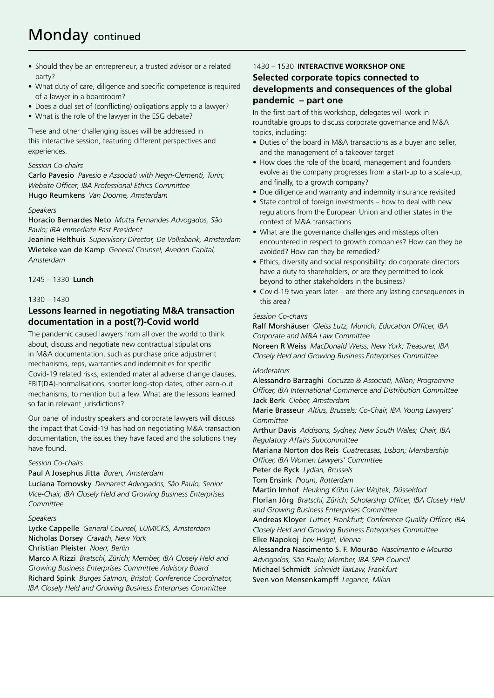## Monday continued

- Should they be an entrepreneur, a trusted advisor or a related party?
- What duty of care, diligence and specific competence is required of a lawyer in a boardroom?
- Does a dual set of (conflicting) obligations apply to a lawyer?
- What is the role of the lawyer in the ESG debate?

These and other challenging issues will be addressed in this interactive session, featuring different perspectives and experiences.

#### *Session Co-chairs*

Carlo Pavesio *Pavesio e Associati with Negri-Clementi, Turin; Website Officer, IBA Professional Ethics Committee*  Hugo Reumkens *Van Doorne, Amsterdam* 

#### *Speakers*

Horacio Bernardes Neto *Motta Fernandes Advogados, São Paulo; IBA Immediate Past President* 

Jeanine Helthuis *Supervisory Director, De Volksbank, Amsterdam* Wieteke van de Kamp *General Counsel, Avedon Capital, Amsterdam* 

#### 1245 – 1330 **Lunch**

#### 1330 – 1430

#### **Lessons learned in negotiating M&A transaction documentation in a post(?)-Covid world**

The pandemic caused lawyers from all over the world to think about, discuss and negotiate new contractual stipulations in M&A documentation, such as purchase price adjustment mechanisms, reps, warranties and indemnities for specific Covid-19 related risks, extended material adverse change clauses, EBIT(DA)-normalisations, shorter long-stop dates, other earn-out mechanisms, to mention but a few. What are the lessons learned so far in relevant jurisdictions?

Our panel of industry speakers and corporate lawyers will discuss the impact that Covid-19 has had on negotiating M&A transaction documentation, the issues they have faced and the solutions they have found.

#### *Session Co-chairs*

Paul A Josephus Jitta *Buren, Amsterdam* 

Luciana Tornovsky *Demarest Advogados, São Paulo; Senior Vice-Chair, IBA Closely Held and Growing Business Enterprises Committee* 

#### *Speakers*

Lycke Cappelle *General Counsel, LUMICKS, Amsterdam*  Nicholas Dorsey *Cravath, New York*  Christian Pleister *Noerr, Berlin* 

Marco A Rizzi *Bratschi, Zürich; Member, IBA Closely Held and Growing Business Enterprises Committee Advisory Board*  Richard Spink *Burges Salmon, Bristol; Conference Coordinator, IBA Closely Held and Growing Business Enterprises Committee* 

#### 1430 – 1530 **INTERACTIVE WORKSHOP ONE Selected corporate topics connected to developments and consequences of the global pandemic – part one**

In the first part of this workshop, delegates will work in roundtable groups to discuss corporate governance and M&A topics, including:

- Duties of the board in M&A transactions as a buyer and seller, and the management of a takeover target
- How does the role of the board, management and founders evolve as the company progresses from a start-up to a scale-up, and finally, to a growth company?
- Due diligence and warranty and indemnity insurance revisited
- State control of foreign investments how to deal with new regulations from the European Union and other states in the context of M&A transactions
- What are the governance challenges and missteps often encountered in respect to growth companies? How can they be avoided? How can they be remedied?
- Ethics, diversity and social responsibility: do corporate directors have a duty to shareholders, or are they permitted to look beyond to other stakeholders in the business?
- Covid-19 two years later are there any lasting consequences in this area?

#### *Session Co-chairs*

Ralf Morshäuser *Gleiss Lutz, Munich; Education Officer, IBA Corporate and M&A Law Committee* 

Noreen R Weiss *MacDonald Weiss, New York; Treasurer, IBA Closely Held and Growing Business Enterprises Committee* 

#### *Moderators*

Alessandro Barzaghi *Cocuzza & Associati, Milan; Programme Officer, IBA International Commerce and Distribution Committee* Jack Berk *Cleber, Amsterdam* 

Marie Brasseur *Altius, Brussels; Co-Chair, IBA Young Lawyers' Committee*

Arthur Davis *Addisons, Sydney, New South Wales; Chair, IBA Regulatory Affairs Subcommittee*

Mariana Norton dos Reis *Cuatrecasas, Lisbon; Membership Officer, IBA Women Lawyers' Committee* 

Peter de Ryck *Lydian, Brussels*

Tom Ensink *Ploum, Rotterdam* 

Martin Imhof *Heuking Kühn Lüer Wojtek, Düsseldorf* 

Florian Jörg *Bratschi, Zürich; Scholarship Officer, IBA Closely Held and Growing Business Enterprises Committee* 

Andreas Kloyer *Luther, Frankfurt; Conference Quality Officer, IBA Closely Held and Growing Business Enterprises Committee*

Elke Napokoj *bpv Hügel, Vienna*

Alessandra Nascimento S. F. Mourão *Nascimento e Mourão Advogados, São Paulo; Member, IBA SPPI Council*  Michael Schmidt *Schmidt TaxLaw, Frankfurt*

Sven von Mensenkampff *Legance, Milan*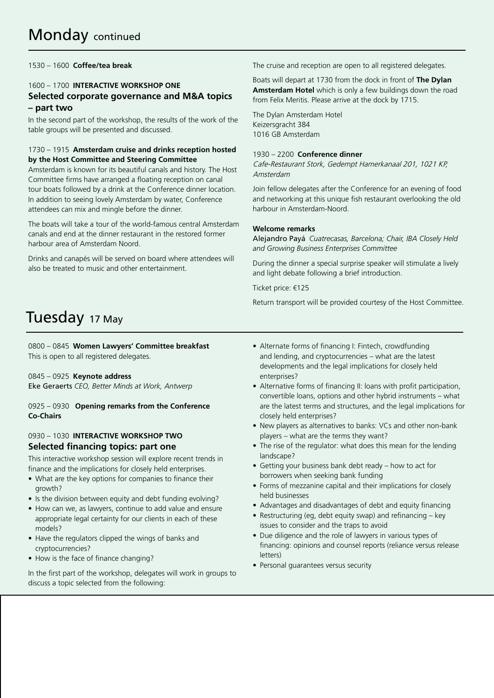#### 1530 – 1600 **Coffee/tea break**

#### 1600 – 1700 **INTERACTIVE WORKSHOP ONE Selected corporate governance and M&A topics – part two**

In the second part of the workshop, the results of the work of the table groups will be presented and discussed.

#### 1730 – 1915 **Amsterdam cruise and drinks reception hosted by the Host Committee and Steering Committee**

Amsterdam is known for its beautiful canals and history. The Host Committee firms have arranged a floating reception on canal tour boats followed by a drink at the Conference dinner location. In addition to seeing lovely Amsterdam by water, Conference attendees can mix and mingle before the dinner.

The boats will take a tour of the world-famous central Amsterdam canals and end at the dinner restaurant in the restored former harbour area of Amsterdam Noord.

Drinks and canapés will be served on board where attendees will also be treated to music and other entertainment.

The cruise and reception are open to all registered delegates.

Boats will depart at 1730 from the dock in front of **The Dylan Amsterdam Hotel** which is only a few buildings down the road from Felix Meritis. Please arrive at the dock by 1715.

The Dylan Amsterdam Hotel Keizersgracht 384 1016 GB Amsterdam

#### 1930 – 2200 **Conference dinner**

Cafe-Restaurant Stork, Gedempt Hamerkanaal 201, 1021 KP, Amsterdam

Join fellow delegates after the Conference for an evening of food and networking at this unique fish restaurant overlooking the old harbour in Amsterdam-Noord.

#### **Welcome remarks**

Alejandro Payá *Cuatrecasas, Barcelona; Chair, IBA Closely Held and Growing Business Enterprises Committee*

During the dinner a special surprise speaker will stimulate a lively and light debate following a brief introduction.

Ticket price: €125

Return transport will be provided courtesy of the Host Committee.

### Tuesday 17 May

0800 – 0845 **Women Lawyers' Committee breakfast**  This is open to all registered delegates.

#### 0845 – 0925 **Keynote address**

Eke Geraerts *CEO, Better Minds at Work, Antwerp* 

0925 – 0930 **Opening remarks from the Conference Co-Chairs** 

#### 0930 – 1030 **INTERACTIVE WORKSHOP TWO Selected financing topics: part one**

This interactive workshop session will explore recent trends in finance and the implications for closely held enterprises.

- What are the key options for companies to finance their growth?
- Is the division between equity and debt funding evolving?
- How can we, as lawyers, continue to add value and ensure appropriate legal certainty for our clients in each of these models?
- Have the regulators clipped the wings of banks and cryptocurrencies?
- How is the face of finance changing?

In the first part of the workshop, delegates will work in groups to discuss a topic selected from the following:

- Alternate forms of financing I: Fintech, crowdfunding and lending, and cryptocurrencies – what are the latest developments and the legal implications for closely held enterprises?
- Alternative forms of financing II: loans with profit participation, convertible loans, options and other hybrid instruments – what are the latest terms and structures, and the legal implications for closely held enterprises?
- New players as alternatives to banks: VCs and other non-bank players – what are the terms they want?
- The rise of the regulator: what does this mean for the lending landscape?
- Getting your business bank debt ready how to act for borrowers when seeking bank funding
- Forms of mezzanine capital and their implications for closely held businesses
- Advantages and disadvantages of debt and equity financing
- Restructuring (eg, debt equity swap) and refinancing key issues to consider and the traps to avoid
- Due diligence and the role of lawyers in various types of financing: opinions and counsel reports (reliance versus release letters)
- Personal guarantees versus security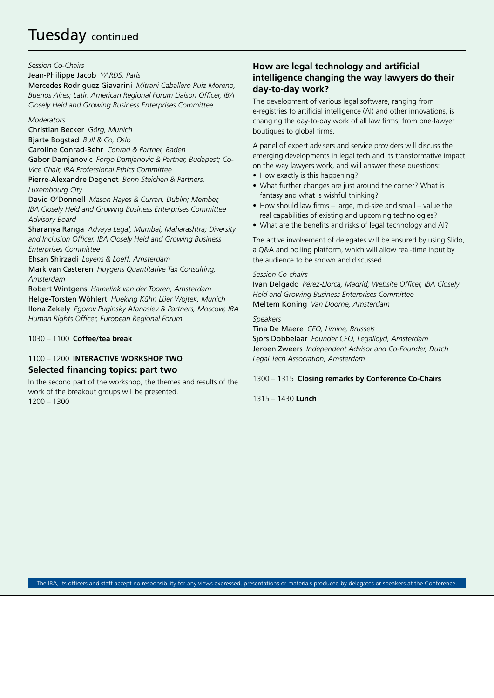### Tuesday continued

*Session Co-Chairs* 

Jean-Philippe Jacob *YARDS, Paris* 

Mercedes Rodriguez Giavarini *Mitrani Caballero Ruiz Moreno, Buenos Aires; Latin American Regional Forum Liaison Officer, IBA Closely Held and Growing Business Enterprises Committee* 

#### *Moderators*

Christian Becker *Görg, Munich* Bjarte Bogstad *Bull & Co, Oslo* Caroline Conrad-Behr *Conrad & Partner, Baden* Gabor Damjanovic *Forgo Damjanovic & Partner, Budapest; Co-Vice Chair, IBA Professional Ethics Committee* Pierre-Alexandre Degehet *Bonn Steichen & Partners, Luxembourg City* David O'Donnell *Mason Hayes & Curran, Dublin; Member,* 

*IBA Closely Held and Growing Business Enterprises Committee Advisory Board*

Sharanya Ranga *Advaya Legal, Mumbai, Maharashtra; Diversity and Inclusion Officer, IBA Closely Held and Growing Business Enterprises Committee*

Ehsan Shirzadi *Loyens & Loeff, Amsterdam* 

Mark van Casteren *Huygens Quantitative Tax Consulting, Amsterdam* 

Robert Wintgens *Hamelink van der Tooren, Amsterdam* Helge-Torsten Wöhlert *Hueking Kühn Lüer Wojtek, Munich*  Ilona Zekely *Egorov Puginsky Afanasiev & Partners, Moscow, IBA Human Rights Officer, European Regional Forum*

#### 1030 – 1100 **Coffee/tea break**

#### 1100 – 1200 **INTERACTIVE WORKSHOP TWO Selected financing topics: part two**

In the second part of the workshop, the themes and results of the work of the breakout groups will be presented. 1200 – 1300

#### **How are legal technology and artificial intelligence changing the way lawyers do their day-to-day work?**

The development of various legal software, ranging from e-registries to artificial intelligence (AI) and other innovations, is changing the day-to-day work of all law firms, from one-lawyer boutiques to global firms.

A panel of expert advisers and service providers will discuss the emerging developments in legal tech and its transformative impact on the way lawyers work, and will answer these questions:

- How exactly is this happening?
- What further changes are just around the corner? What is fantasy and what is wishful thinking?
- How should law firms large, mid-size and small value the real capabilities of existing and upcoming technologies?
- What are the benefits and risks of legal technology and AI?

The active involvement of delegates will be ensured by using Slido, a Q&A and polling platform, which will allow real-time input by the audience to be shown and discussed.

#### *Session Co-chairs*

Ivan Delgado *Pérez-Llorca, Madrid; Website Officer, IBA Closely Held and Growing Business Enterprises Committee*  Meltem Koning *Van Doorne, Amsterdam* 

#### *Speakers*

Tina De Maere *CEO, Limine, Brussels* Sjors Dobbelaar *Founder CEO, Legalloyd, Amsterdam* Jeroen Zweers *Independent Advisor and Co-Founder, Dutch Legal Tech Association, Amsterdam*

#### 1300 – 1315 **Closing remarks by Conference Co-Chairs**

1315 – 1430 **Lunch**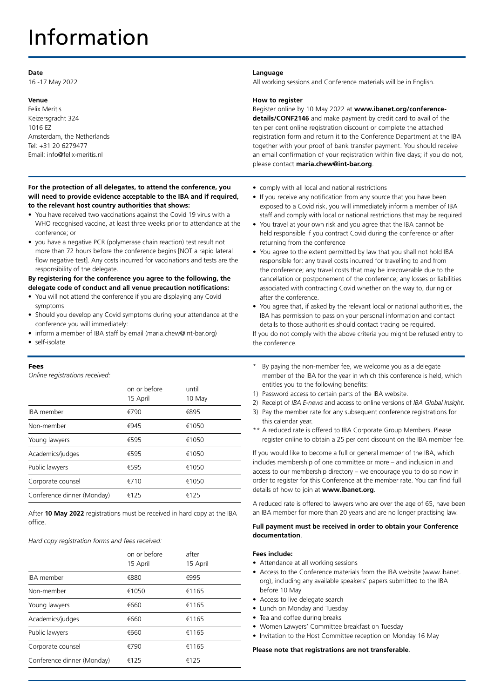## Information

#### **Date**

16 -17 May 2022

#### **Venue**

Felix Meritis Keizersgracht 324 1016 EZ Amsterdam, the Netherlands Tel: +31 20 6279477 Email: info@felix-meritis.nl

#### **For the protection of all delegates, to attend the conference, you will need to provide evidence acceptable to the IBA and if required, to the relevant host country authorities that shows:**

- You have received two vaccinations against the Covid 19 virus with a WHO recognised vaccine, at least three weeks prior to attendance at the conference; or
- you have a negative PCR (polymerase chain reaction) test result not more than 72 hours before the conference begins [NOT a rapid lateral flow negative test]. Any costs incurred for vaccinations and tests are the responsibility of the delegate.

#### **By registering for the conference you agree to the following, the delegate code of conduct and all venue precaution notifications:**

- You will not attend the conference if you are displaying any Covid symptoms
- Should you develop any Covid symptoms during your attendance at the conference you will immediately:
- inform a member of IBA staff by email (maria.chew@int-bar.org)
- self-isolate

#### Fees

*Online registrations received:*

|                            | on or before<br>15 April | until<br>10 May |
|----------------------------|--------------------------|-----------------|
| IBA member                 | €790                     | €895            |
| Non-member                 | €945                     | €1050           |
| Young lawyers              | €595                     | €1050           |
| Academics/judges           | €595                     | €1050           |
| Public lawyers             | €595                     | €1050           |
| Corporate counsel          | €710                     | €1050           |
| Conference dinner (Monday) | €125                     | €125            |

After **10 May 2022** registrations must be received in hard copy at the IBA office.

#### *Hard copy registration forms and fees received:*

|                            | on or before<br>15 April | after<br>15 April |
|----------------------------|--------------------------|-------------------|
| IBA member                 | €880                     | €995              |
| Non-member                 | €1050                    | €1165             |
| Young lawyers              | €660                     | €1165             |
| Academics/judges           | €660                     | €1165             |
| Public lawyers             | €660                     | €1165             |
| Corporate counsel          | €790                     | €1165             |
| Conference dinner (Monday) | €125                     | €125              |

#### **Language**

All working sessions and Conference materials will be in English.

#### **How to register**

Register online by 10 May 2022 at **www.ibanet.org/conferencedetails/CONF2146** and make payment by credit card to avail of the ten per cent online registration discount or complete the attached registration form and return it to the Conference Department at the IBA together with your proof of bank transfer payment. You should receive an email confirmation of your registration within five days; if you do not, please contact **maria.chew@int-bar.org**.

- comply with all local and national restrictions
- If you receive any notification from any source that you have been exposed to a Covid risk, you will immediately inform a member of IBA staff and comply with local or national restrictions that may be required
- You travel at your own risk and you agree that the IBA cannot be held responsible if you contract Covid during the conference or after returning from the conference
- You agree to the extent permitted by law that you shall not hold IBA responsible for: any travel costs incurred for travelling to and from the conference; any travel costs that may be irrecoverable due to the cancellation or postponement of the conference; any losses or liabilities associated with contracting Covid whether on the way to, during or after the conference.
- You agree that, if asked by the relevant local or national authorities, the IBA has permission to pass on your personal information and contact details to those authorities should contact tracing be required.

If you do not comply with the above criteria you might be refused entry to the conference.

- \* By paying the non-member fee, we welcome you as a delegate member of the IBA for the year in which this conference is held, which entitles you to the following benefits:
- 1) Password access to certain parts of the IBA website.
- 2) Receipt of *IBA E-news* and access to online versions of *IBA Global Insight*. 3) Pay the member rate for any subsequent conference registrations for
- this calendar year.
- \*\* A reduced rate is offered to IBA Corporate Group Members. Please register online to obtain a 25 per cent discount on the IBA member fee.

If you would like to become a full or general member of the IBA, which includes membership of one committee or more – and inclusion in and access to our membership directory – we encourage you to do so now in order to register for this Conference at the member rate. You can find full details of how to join at **www.ibanet.org**.

A reduced rate is offered to lawyers who are over the age of 65, have been an IBA member for more than 20 years and are no longer practising law.

#### **Full payment must be received in order to obtain your Conference documentation**.

#### **Fees include:**

- Attendance at all working sessions
- Access to the Conference materials from the IBA website (www.ibanet. org), including any available speakers' papers submitted to the IBA before 10 May
- Access to live delegate search
- Lunch on Monday and Tuesday
- Tea and coffee during breaks
- Women Lawyers' Committee breakfast on Tuesday
- Invitation to the Host Committee reception on Monday 16 May

#### **Please note that registrations are not transferable**.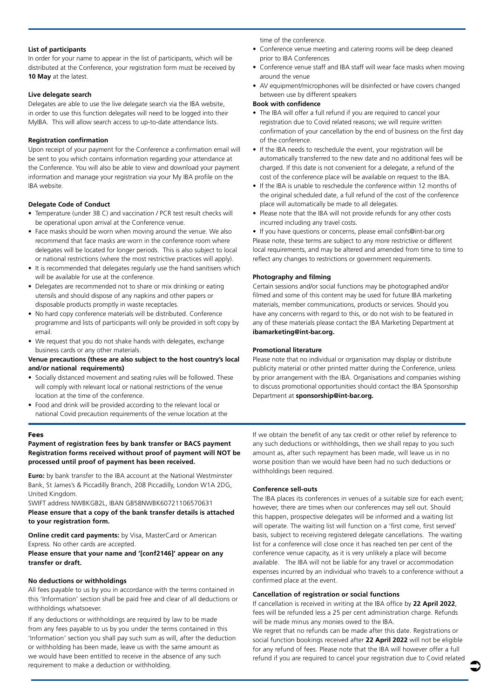#### **List of participants**

In order for your name to appear in the list of participants, which will be distributed at the Conference, your registration form must be received by **10 May** at the latest.

#### **Live delegate search**

Delegates are able to use the live delegate search via the IBA website, in order to use this function delegates will need to be logged into their MyIBA. This will allow search access to up-to-date attendance lists.

#### **Registration confirmation**

Upon receipt of your payment for the Conference a confirmation email will be sent to you which contains information regarding your attendance at the Conference. You will also be able to view and download your payment information and manage your registration via your My IBA profile on the IBA website.

#### **Delegate Code of Conduct**

- Temperature (under 38 C) and vaccination / PCR test result checks will be operational upon arrival at the Conference venue.
- Face masks should be worn when moving around the venue. We also recommend that face masks are worn in the conference room where delegates will be located for longer periods. This is also subject to local or national restrictions (where the most restrictive practices will apply).
- It is recommended that delegates regularly use the hand sanitisers which will be available for use at the conference.
- Delegates are recommended not to share or mix drinking or eating utensils and should dispose of any napkins and other papers or disposable products promptly in waste receptacles.
- No hard copy conference materials will be distributed. Conference programme and lists of participants will only be provided in soft copy by email.
- We request that you do not shake hands with delegates, exchange business cards or any other materials.

#### **Venue precautions (these are also subject to the host country's local and/or national requirements)**

- Socially distanced movement and seating rules will be followed. These will comply with relevant local or national restrictions of the venue location at the time of the conference.
- Food and drink will be provided according to the relevant local or national Covid precaution requirements of the venue location at the

#### Fees

#### **Payment of registration fees by bank transfer or BACS payment Registration forms received without proof of payment will NOT be processed until proof of payment has been received.**

**Euro:** by bank transfer to the IBA account at the National Westminster Bank, St James's & Piccadilly Branch, 208 Piccadilly, London W1A 2DG, United Kingdom.

SWIFT address NWBKGB2L, IBAN GB58NWBK60721106570631 **Please ensure that a copy of the bank transfer details is attached to your registration form.**

**Online credit card payments:** by Visa, MasterCard or American Express. No other cards are accepted.

**Please ensure that your name and '[conf2146]' appear on any transfer or draft.**

#### **No deductions or withholdings**

All fees payable to us by you in accordance with the terms contained in this 'Information' section shall be paid free and clear of all deductions or withholdings whatsoever.

If any deductions or withholdings are required by law to be made from any fees payable to us by you under the terms contained in this 'Information' section you shall pay such sum as will, after the deduction or withholding has been made, leave us with the same amount as we would have been entitled to receive in the absence of any such requirement to make a deduction or withholding.

time of the conference.

- Conference venue meeting and catering rooms will be deep cleaned prior to IBA Conferences
- Conference venue staff and IBA staff will wear face masks when moving around the venue
- AV equipment/microphones will be disinfected or have covers changed between use by different speakers

#### **Book with confidence**

- The IBA will offer a full refund if you are required to cancel your registration due to Covid related reasons; we will require written confirmation of your cancellation by the end of business on the first day of the conference.
- If the IBA needs to reschedule the event, your registration will be automatically transferred to the new date and no additional fees will be charged. If this date is not convenient for a delegate, a refund of the cost of the conference place will be available on request to the IBA.
- If the IBA is unable to reschedule the conference within 12 months of the original scheduled date, a full refund of the cost of the conference place will automatically be made to all delegates.
- Please note that the IBA will not provide refunds for any other costs incurred including any travel costs.

• If you have questions or concerns, please email confs@int-bar.org Please note, these terms are subject to any more restrictive or different local requirements, and may be altered and amended from time to time to reflect any changes to restrictions or government requirements.

#### **Photography and filming**

Certain sessions and/or social functions may be photographed and/or filmed and some of this content may be used for future IBA marketing materials, member communications, products or services. Should you have any concerns with regard to this, or do not wish to be featured in any of these materials please contact the IBA Marketing Department at **ibamarketing@int-bar.org.**

#### **Promotional literature**

Please note that no individual or organisation may display or distribute publicity material or other printed matter during the Conference, unless by prior arrangement with the IBA. Organisations and companies wishing to discuss promotional opportunities should contact the IBA Sponsorship Department at **sponsorship@int-bar.org.**

If we obtain the benefit of any tax credit or other relief by reference to any such deductions or withholdings, then we shall repay to you such amount as, after such repayment has been made, will leave us in no worse position than we would have been had no such deductions or withholdings been required.

#### **Conference sell-outs**

The IBA places its conferences in venues of a suitable size for each event; however, there are times when our conferences may sell out. Should this happen, prospective delegates will be informed and a waiting list will operate. The waiting list will function on a 'first come, first served' basis, subject to receiving registered delegate cancellations. The waiting list for a conference will close once it has reached ten per cent of the conference venue capacity, as it is very unlikely a place will become available. The IBA will not be liable for any travel or accommodation expenses incurred by an individual who travels to a conference without a confirmed place at the event.

#### **Cancellation of registration or social functions**

If cancellation is received in writing at the IBA office by **22 April 2022**, fees will be refunded less a 25 per cent administration charge. Refunds will be made minus any monies owed to the IBA.

We regret that no refunds can be made after this date. Registrations or social function bookings received after **22 April 2022** will not be eligible for any refund of fees. Please note that the IBA will however offer a full refund if you are required to cancel your registration due to Covid related

 $\bullet$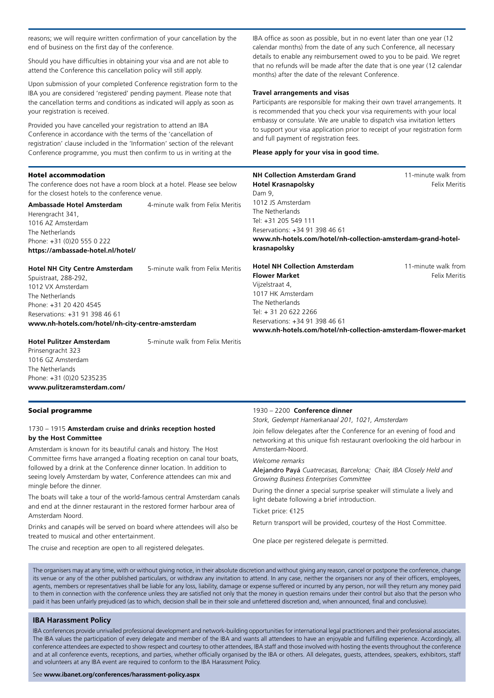reasons; we will require written confirmation of your cancellation by the end of business on the first day of the conference.

Should you have difficulties in obtaining your visa and are not able to attend the Conference this cancellation policy will still apply.

Upon submission of your completed Conference registration form to the IBA you are considered 'registered' pending payment. Please note that the cancellation terms and conditions as indicated will apply as soon as your registration is received.

Provided you have cancelled your registration to attend an IBA Conference in accordance with the terms of the 'cancellation of registration' clause included in the 'Information' section of the relevant Conference programme, you must then confirm to us in writing at the

#### Hotel accommodation

The conference does not have a room block at a hotel. Please for the closest hotels to the conference venue.

**Ambassade Hotel Amsterdam** 4-minute walk from

Herengracht 341, 1016 AZ Amsterdam The Netherlands Phone: +31 (0)20 555 0 222 **<https://ambassade-hotel.nl/hotel/>**

#### **Hotel NH City Centre Amsterdam** 5-minute walk from

Spuistraat, 288-292, 1012 VX Amsterdam The Netherlands Phone: +31 20 420 4545 Reservations: +31 91 398 46 61 **[www.nh-hotels.com/hotel/nh-city-centre-amsterdam](https://www.nh-hotels.com/hotel/nh-city-centre-amsterdam)**

**Hotel Pulitzer Amsterdam** 5-minute walk from Felix Meritis

Prinsengracht 323 1016 GZ Amsterdam The Netherlands Phone: +31 (0)20 5235235 **[www.pulitzeramsterdam.com/](https://www.pulitzeramsterdam.com/)**

#### Social programme

#### 1730 – 1915 **Amsterdam cruise and drinks reception hosted by the Host Committee**

Amsterdam is known for its beautiful canals and history. The Host Committee firms have arranged a floating reception on canal tour boats, followed by a drink at the Conference dinner location. In addition to seeing lovely Amsterdam by water, Conference attendees can mix and mingle before the dinner.

The boats will take a tour of the world-famous central Amsterdam canals and end at the dinner restaurant in the restored former harbour area of Amsterdam Noord.

Drinks and canapés will be served on board where attendees will also be treated to musical and other entertainment.

The cruise and reception are open to all registered delegates.

IBA office as soon as possible, but in no event later than one year (12 calendar months) from the date of any such Conference, all necessary details to enable any reimbursement owed to you to be paid. We regret that no refunds will be made after the date that is one year (12 calendar months) after the date of the relevant Conference.

#### **Travel arrangements and visas**

Participants are responsible for making their own travel arrangements. It is recommended that you check your visa requirements with your local embassy or consulate. We are unable to dispatch visa invitation letters to support your visa application prior to receipt of your registration form and full payment of registration fees.

**Please apply for your visa in good time.**

| e see below     | <b>NH Collection Amsterdam Grand</b><br><b>Hotel Krasnapolsky</b> | 11-minute walk from<br>Felix Meritis |
|-----------------|-------------------------------------------------------------------|--------------------------------------|
|                 | Dam 9,<br>1012 JS Amsterdam                                       |                                      |
| ı Felix Meritis | The Netherlands                                                   |                                      |
|                 | Tel: +31 205 549 111                                              |                                      |
|                 | Reservations: +34 91 398 46 61                                    |                                      |
|                 | www.nh-hotels.com/hotel/nh-collection-amsterdam-grand-hotel-      |                                      |
|                 | krasnapolsky                                                      |                                      |
| ı Felix Meritis | <b>Hotel NH Collection Amsterdam</b>                              | 11-minute walk from                  |
|                 | <b>Flower Market</b>                                              | <b>Felix Meritis</b>                 |
|                 | Vijzelstraat 4,                                                   |                                      |
|                 | 1017 HK Amsterdam                                                 |                                      |
|                 | The Netherlands                                                   |                                      |
|                 | Tel: + 31 20 622 2266                                             |                                      |
|                 | Reservations: +34 91 398 46 61                                    |                                      |

**[www.nh-hotels.com/hotel/nh-collection-amsterdam-flower-market](https://www.nh-hotels.com/hotel/nh-collection-amsterdam-flower-market)**

#### 1930 – 2200 **Conference dinner**

*Stork, Gedempt Hamerkanaal 201, 1021, Amsterdam* 

Join fellow delegates after the Conference for an evening of food and networking at this unique fish restaurant overlooking the old harbour in Amsterdam-Noord.

*Welcome remarks* 

Alejandro Payá *Cuatrecasas, Barcelona; Chair, IBA Closely Held and Growing Business Enterprises Committee*

During the dinner a special surprise speaker will stimulate a lively and light debate following a brief introduction.

Ticket price: €125

Return transport will be provided, courtesy of the Host Committee.

One place per registered delegate is permitted.

The organisers may at any time, with or without giving notice, in their absolute discretion and without giving any reason, cancel or postpone the conference, change its venue or any of the other published particulars, or withdraw any invitation to attend. In any case, neither the organisers nor any of their officers, employees, agents, members or representatives shall be liable for any loss, liability, damage or expense suffered or incurred by any person, nor will they return any money paid to them in connection with the conference unless they are satisfied not only that the money in question remains under their control but also that the person who paid it has been unfairly prejudiced (as to which, decision shall be in their sole and unfettered discretion and, when announced, final and conclusive).

#### **IBA Harassment Policy**

IBA conferences provide unrivalled professional development and network-building opportunities for international legal practitioners and their professional associates. The IBA values the participation of every delegate and member of the IBA and wants all attendees to have an enjoyable and fulfilling experience. Accordingly, all conference attendees are expected to show respect and courtesy to other attendees, IBA staff and those involved with hosting the events throughout the conference and at all conference events, receptions, and parties, whether officially organised by the IBA or others. All delegates, guests, attendees, speakers, exhibitors, staff and volunteers at any IBA event are required to conform to the IBA Harassment Policy.

See **www.ibanet.org/conferences/harassment-policy.aspx**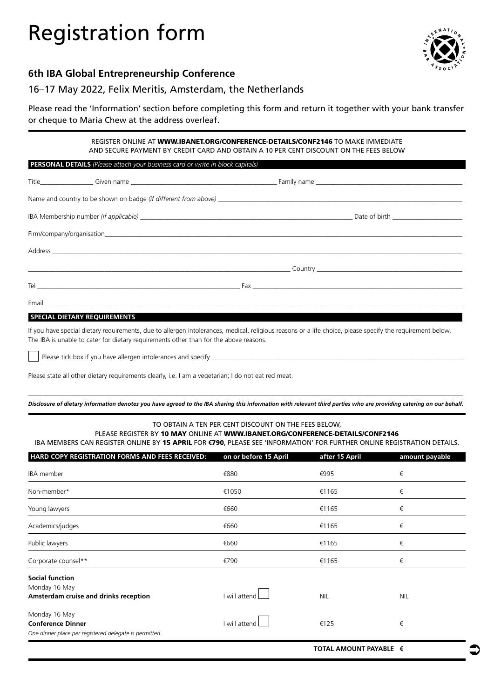## Registration form



#### **6th IBA Global Entrepreneurship Conference**

#### 16–17 May 2022, Felix Meritis, Amsterdam, the Netherlands

Please read the 'Information' section before completing this form and return it together with your bank transfer or cheque to Maria Chew at the address overleaf.

> REGISTER ONLINE AT [WWW.IBANET.ORG/CONFERENCE-DETAILS/CONF2146](https://www.ibanet.org/conference-details/CONF2146) TO MAKE IMMEDIATE AND SECURE PAYMENT BY CREDIT CARD AND OBTAIN A 10 PER CENT DISCOUNT ON THE FEES BELOW

**PERSONAL DETAILS** *(Please attach your business card or write in block capitals)*

#### **SPECIAL DIETARY REQUIREMENTS**

If you have special dietary requirements, due to allergen intolerances, medical, religious reasons or a life choice, please specify the requirement below. The IBA is unable to cater for dietary requirements other than for the above reasons.

Please tick box if you have allergen intolerances and specify

Please state all other dietary requirements clearly, i.e. I am a vegetarian; I do not eat red meat.

 $\_$  , and the set of the set of the set of the set of the set of the set of the set of the set of the set of the set of the set of the set of the set of the set of the set of the set of the set of the set of the set of th *Disclosure of dietary information denotes you have agreed to the IBA sharing this information with relevant third parties who are providing catering on our behalf.*

#### TO OBTAIN A TEN PER CENT DISCOUNT ON THE FEES BELOW,

PLEASE REGISTER BY 10 MAY ONLINE AT [WWW.IBANET.ORG/CONFERENCE-DETAILS/CONF2146](https://www.ibanet.org/conference-details/CONF2146) IBA MEMBERS CAN REGISTER ONLINE BY 15 APRIL FOR **€**790, PLEASE SEE 'INFORMATION' FOR FURTHER ONLINE REGISTRATION DETAILS.

| HARD COPY REGISTRATION FORMS AND FEES RECEIVED:                                                     | on or before 15 April | after 15 April | amount payable |
|-----------------------------------------------------------------------------------------------------|-----------------------|----------------|----------------|
| <b>IBA</b> member                                                                                   | €880                  | €995           | €              |
| Non-member*                                                                                         | €1050                 | €1165          | €              |
| Young lawyers                                                                                       | €660                  | €1165          | €              |
| Academics/judges                                                                                    | €660                  | €1165          | €              |
| Public lawyers                                                                                      | €660                  | €1165          | €              |
| Corporate counsel**                                                                                 | €790                  | €1165          | €              |
| <b>Social function</b><br>Monday 16 May<br>Amsterdam cruise and drinks reception                    | I will attend         | <b>NIL</b>     | <b>NIL</b>     |
| Monday 16 May<br><b>Conference Dinner</b><br>One dinner place per registered delegate is permitted. | I will attend         | €125           | €              |

 **TOTAL AMOUNT PAYABLE €**

 $\bullet$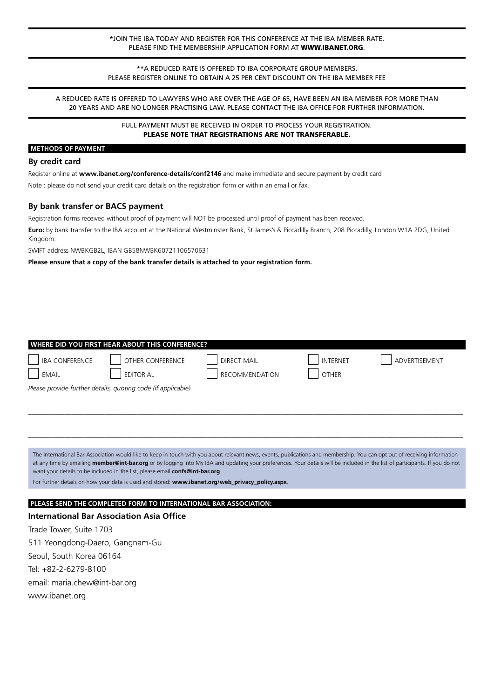\*JOIN THE IBA TODAY AND REGISTER FOR THIS CONFERENCE AT THE IBA MEMBER RATE. PLEASE FIND THE MEMBERSHIP APPLICATION FORM AT [WWW.IBANET.ORG](http://www.ibanet.org).

\*\*A REDUCED RATE IS OFFERED TO IBA CORPORATE GROUP MEMBERS. PLEASE REGISTER ONLINE TO OBTAIN A 25 PER CENT DISCOUNT ON THE IBA MEMBER FEE

A REDUCED RATE IS OFFERED TO LAWYERS WHO ARE OVER THE AGE OF 65, HAVE BEEN AN IBA MEMBER FOR MORE THAN 20 YEARS AND ARE NO LONGER PRACTISING LAW. PLEASE CONTACT THE IBA OFFICE FOR FURTHER INFORMATION.

> FULL PAYMENT MUST BE RECEIVED IN ORDER TO PROCESS YOUR REGISTRATION. PLEASE NOTE THAT REGISTRATIONS ARE NOT TRANSFERABLE.

#### **METHODS OF PAYMENT**

#### **By credit card**

Register online at **[www.ibanet.org/conference-details/conf2146](https://www.ibanet.org/conference-details/conf2146)** and make immediate and secure payment by credit card

Note : please do not send your credit card details on the registration form or within an email or fax.

#### **By bank transfer or BACS payment**

Registration forms received without proof of payment will NOT be processed until proof of payment has been received.

**Euro:** by bank transfer to the IBA account at the National Westminster Bank, St James's & Piccadilly Branch, 208 Piccadilly, London W1A 2DG, United Kingdom.

SWIFT address NWBKGB2L, IBAN GB58NWBK60721106570631

**WHERE DID YOU FIRST HEAR ABOUT THIS CONFERENCE?**

**Please ensure that a copy of the bank transfer details is attached to your registration form.**

|                                                                                                  | <b>INSTITUTION THIS CONTENSIVE</b>                                            |                                                                                                                                                                                     |                 |               |
|--------------------------------------------------------------------------------------------------|-------------------------------------------------------------------------------|-------------------------------------------------------------------------------------------------------------------------------------------------------------------------------------|-----------------|---------------|
| <b>IBA CONFERENCE</b>                                                                            | OTHER CONFERENCE                                                              | <b>DIRECT MAIL</b>                                                                                                                                                                  | <b>INTERNET</b> | ADVERTISEMENT |
| <b>EMAIL</b>                                                                                     | <b>EDITORIAL</b>                                                              | <b>RECOMMENDATION</b>                                                                                                                                                               | <b>OTHER</b>    |               |
|                                                                                                  | Please provide further details, quoting code (if applicable)                  |                                                                                                                                                                                     |                 |               |
|                                                                                                  |                                                                               |                                                                                                                                                                                     |                 |               |
|                                                                                                  |                                                                               |                                                                                                                                                                                     |                 |               |
|                                                                                                  |                                                                               |                                                                                                                                                                                     |                 |               |
|                                                                                                  |                                                                               |                                                                                                                                                                                     |                 |               |
|                                                                                                  |                                                                               | The International Bar Association would like to keep in touch with you about relevant news, events, publications and membership. You can opt out of receiving information           |                 |               |
|                                                                                                  | want your details to be included in the list, please email confs@int-bar.org. | at any time by emailing <b>member@int-bar.org</b> or by logging into My IBA and updating your preferences. Your details will be included in the list of participants. If you do not |                 |               |
| For further details on how your data is used and stored: www.ibanet.org/web privacy policy.aspx. |                                                                               |                                                                                                                                                                                     |                 |               |
|                                                                                                  |                                                                               |                                                                                                                                                                                     |                 |               |
|                                                                                                  | PLEASE SEND THE COMPLETED FORM TO INTERNATIONAL BAR ASSOCIATION:              |                                                                                                                                                                                     |                 |               |
|                                                                                                  | International Bar Association Asia Office                                     |                                                                                                                                                                                     |                 |               |
| Trade Tower, Suite 1703                                                                          |                                                                               |                                                                                                                                                                                     |                 |               |
| 511 Yeongdong-Daero, Gangnam-Gu                                                                  |                                                                               |                                                                                                                                                                                     |                 |               |
| Seoul, South Korea 06164                                                                         |                                                                               |                                                                                                                                                                                     |                 |               |
| Tel: +82-2-6279-8100                                                                             |                                                                               |                                                                                                                                                                                     |                 |               |

email: maria.chew@int-bar.org

[www.ibanet.org](https://www.ibanet.org)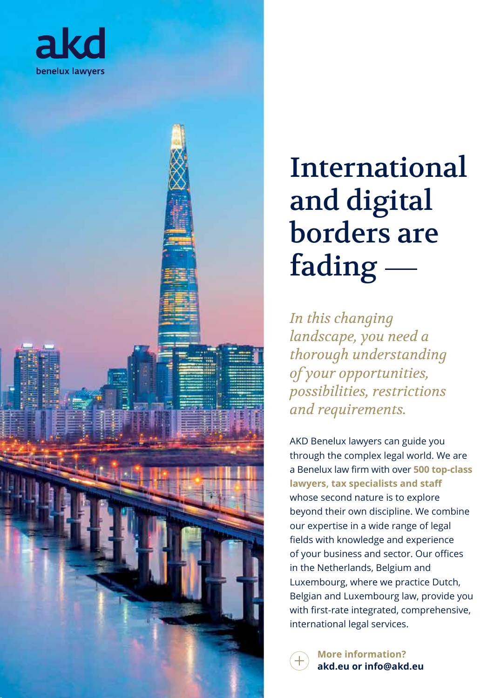



# International and digital borders are fading

*In this changing landscape, you need a thorough understanding of your opportunities, possibilities, restrictions and requirements.*

AKD Benelux lawyers can guide you through the complex legal world. We are a Benelux law firm with over **500 top-class lawyers, tax specialists and staff** whose second nature is to explore beyond their own discipline. We combine our expertise in a wide range of legal fields with knowledge and experience of your business and sector. Our offices in the Netherlands, Belgium and Luxembourg, where we practice Dutch, Belgian and Luxembourg law, provide you with first-rate integrated, comprehensive, international legal services.

**More information? akd.eu or info@akd.eu**